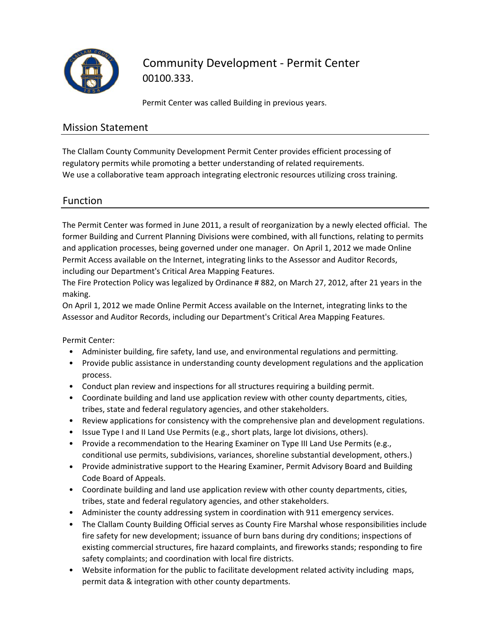

Community Development ‐ Permit Center 00100.333.

Permit Center was called Building in previous years.

#### Mission Statement

The Clallam County Community Development Permit Center provides efficient processing of regulatory permits while promoting a better understanding of related requirements. We use a collaborative team approach integrating electronic resources utilizing cross training.

## Function

The Permit Center was formed in June 2011, a result of reorganization by a newly elected official. The former Building and Current Planning Divisions were combined, with all functions, relating to permits and application processes, being governed under one manager. On April 1, 2012 we made Online Permit Access available on the Internet, integrating links to the Assessor and Auditor Records, including our Department's Critical Area Mapping Features.

The Fire Protection Policy was legalized by Ordinance # 882, on March 27, 2012, after 21 years in the making.

On April 1, 2012 we made Online Permit Access available on the Internet, integrating links to the Assessor and Auditor Records, including our Department's Critical Area Mapping Features.

Permit Center:

- Administer building, fire safety, land use, and environmental regulations and permitting.
- Provide public assistance in understanding county development regulations and the application process.
- Conduct plan review and inspections for all structures requiring a building permit.
- Coordinate building and land use application review with other county departments, cities, tribes, state and federal regulatory agencies, and other stakeholders.
- Review applications for consistency with the comprehensive plan and development regulations.
- Issue Type I and II Land Use Permits (e.g., short plats, large lot divisions, others).
- Provide a recommendation to the Hearing Examiner on Type III Land Use Permits (e.g., conditional use permits, subdivisions, variances, shoreline substantial development, others.)
- Provide administrative support to the Hearing Examiner, Permit Advisory Board and Building Code Board of Appeals.
- Coordinate building and land use application review with other county departments, cities, tribes, state and federal regulatory agencies, and other stakeholders.
- Administer the county addressing system in coordination with 911 emergency services.
- The Clallam County Building Official serves as County Fire Marshal whose responsibilities include fire safety for new development; issuance of burn bans during dry conditions; inspections of existing commercial structures, fire hazard complaints, and fireworks stands; responding to fire safety complaints; and coordination with local fire districts.
- Website information for the public to facilitate development related activity including maps, permit data & integration with other county departments.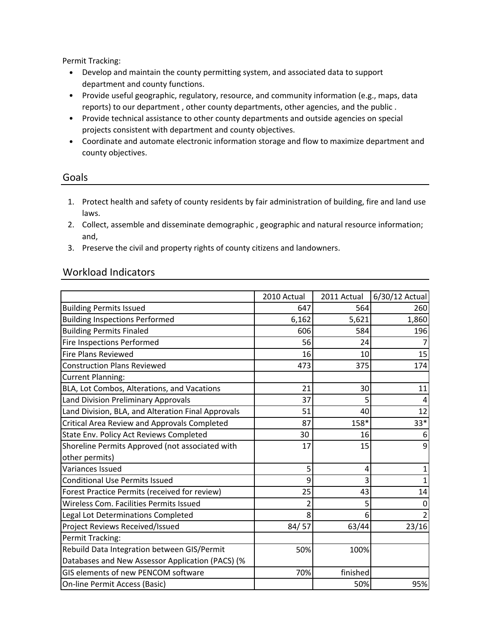Permit Tracking:

- Develop and maintain the county permitting system, and associated data to support department and county functions.
- Provide useful geographic, regulatory, resource, and community information (e.g., maps, data reports) to our department , other county departments, other agencies, and the public .
- Provide technical assistance to other county departments and outside agencies on special projects consistent with department and county objectives.
- Coordinate and automate electronic information storage and flow to maximize department and county objectives.

#### Goals

- 1. Protect health and safety of county residents by fair administration of building, fire and land use laws.
- 2. Collect, assemble and disseminate demographic , geographic and natural resource information; and,
- 3. Preserve the civil and property rights of county citizens and landowners.

## Workload Indicators

|                                                    | 2010 Actual | 2011 Actual | 6/30/12 Actual |
|----------------------------------------------------|-------------|-------------|----------------|
| <b>Building Permits Issued</b>                     | 647         | 564         | 260            |
| <b>Building Inspections Performed</b>              | 6,162       | 5,621       | 1,860          |
| <b>Building Permits Finaled</b>                    | 606         | 584         | 196            |
| Fire Inspections Performed                         | 56          | 24          |                |
| <b>Fire Plans Reviewed</b>                         | 16          | 10          | 15             |
| <b>Construction Plans Reviewed</b>                 | 473         | 375         | 174            |
| <b>Current Planning:</b>                           |             |             |                |
| BLA, Lot Combos, Alterations, and Vacations        | 21          | 30          | 11             |
| Land Division Preliminary Approvals                | 37          | 5           | 4              |
| Land Division, BLA, and Alteration Final Approvals | 51          | 40          | 12             |
| Critical Area Review and Approvals Completed       | 87          | 158*        | $33*$          |
| State Env. Policy Act Reviews Completed            | 30          | 16          | 6              |
| Shoreline Permits Approved (not associated with    | 17          | 15          | q              |
| other permits)                                     |             |             |                |
| Variances Issued                                   | 5           | 4           |                |
| <b>Conditional Use Permits Issued</b>              | 9           | 3           |                |
| Forest Practice Permits (received for review)      | 25          | 43          | 14             |
| Wireless Com. Facilities Permits Issued            | 2           | 5           |                |
| Legal Lot Determinations Completed                 | 8           | 6           |                |
| Project Reviews Received/Issued                    | 84/57       | 63/44       | 23/16          |
| Permit Tracking:                                   |             |             |                |
| Rebuild Data Integration between GIS/Permit        | 50%         | 100%        |                |
| Databases and New Assessor Application (PACS) (%   |             |             |                |
| GIS elements of new PENCOM software                | 70%         | finished    |                |
| On-line Permit Access (Basic)                      |             | 50%         | 95%            |